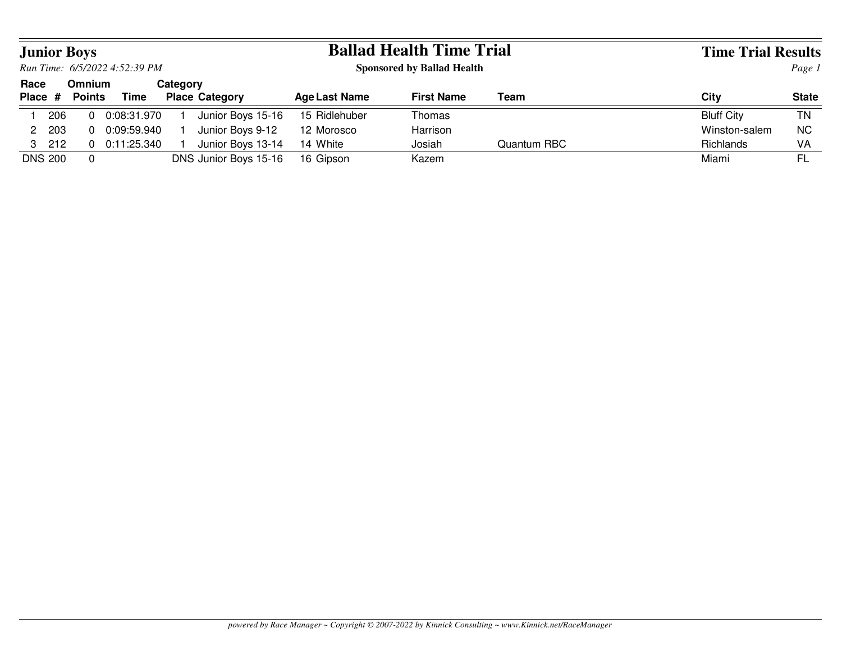|      |                               | <b>Junior Boys</b>      |             |          |                       |                      | <b>Ballad Health Time Trial</b>   |             | <b>Time Trial Results</b> |              |  |
|------|-------------------------------|-------------------------|-------------|----------|-----------------------|----------------------|-----------------------------------|-------------|---------------------------|--------------|--|
|      | Run Time: 6/5/2022 4:52:39 PM |                         |             |          |                       |                      | <b>Sponsored by Ballad Health</b> |             | Page 1                    |              |  |
| Race | Place #                       | <b>Omnium</b><br>Points | Time        | Category | <b>Place Category</b> | <b>Age Last Name</b> | <b>First Name</b>                 | Team        | Citv                      | <b>State</b> |  |
|      | 206                           |                         | 0:08:31.970 |          | Junior Boys 15-16     | 15 Ridlehuber        | Thomas                            |             | <b>Bluff City</b>         | ΤN           |  |
|      | 2 203                         |                         | 0:09:59.940 |          | Junior Boys 9-12      | 12 Morosco           | Harrison                          |             | Winston-salem             | <b>NC</b>    |  |
|      | $3\quad 212$                  |                         | 0:11:25.340 |          | Junior Boys 13-14     | 14 White             | Josiah                            | Quantum RBC | Richlands                 | VA           |  |
|      | <b>DNS 200</b>                | $\Omega$                |             |          | DNS Junior Boys 15-16 | 16 Gipson            | Kazem                             |             | Miami                     | FL           |  |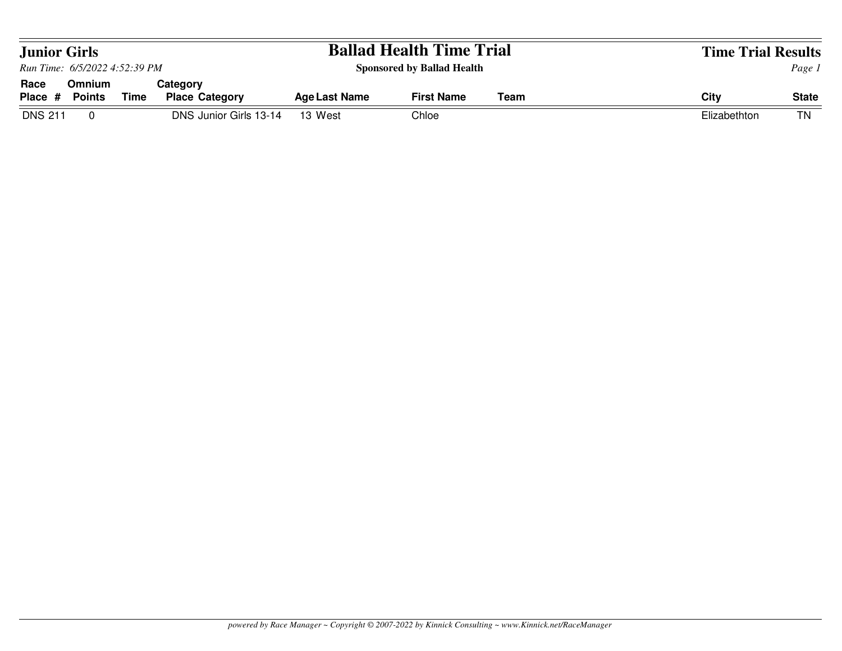| <b>Junior Girls</b>           |                                |             |                                   |                      | <b>Ballad Health Time Trial</b>   |        | <b>Time Trial Results</b> |              |
|-------------------------------|--------------------------------|-------------|-----------------------------------|----------------------|-----------------------------------|--------|---------------------------|--------------|
| Run Time: 6/5/2022 4:52:39 PM |                                |             |                                   |                      | <b>Sponsored by Ballad Health</b> | Page 1 |                           |              |
| Race<br>Place #               | <b>Omnium</b><br><b>Points</b> | <b>Time</b> | Category<br><b>Place Category</b> | <b>Age Last Name</b> | <b>First Name</b>                 | Team   | City                      | <b>State</b> |
| <b>DNS 211</b>                |                                |             | DNS Junior Girls 13-14            | 13 West              | Chloe                             |        | Elizabethton              | ΤN           |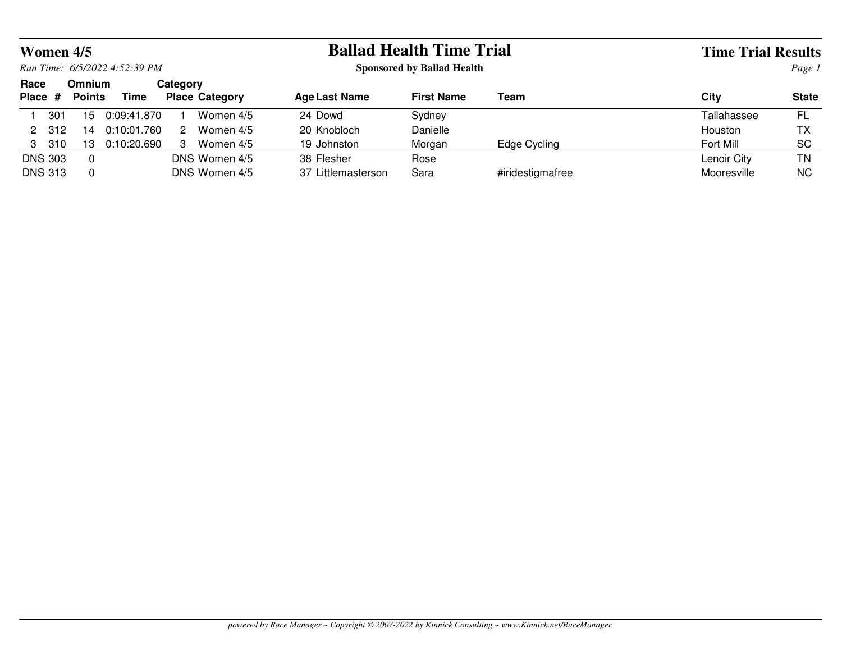|                 | Women 4/5      |                                |                               |          |                       |                      | <b>Ballad Health Time Trial</b>   |                  | <b>Time Trial Results</b> |              |  |
|-----------------|----------------|--------------------------------|-------------------------------|----------|-----------------------|----------------------|-----------------------------------|------------------|---------------------------|--------------|--|
|                 |                |                                | Run Time: 6/5/2022 4:52:39 PM |          |                       |                      | <b>Sponsored by Ballad Health</b> |                  | Page 1                    |              |  |
| Race<br>Place # |                | <b>Omnium</b><br><b>Points</b> | <b>Time</b>                   | Category | <b>Place Category</b> | <b>Age Last Name</b> | <b>First Name</b>                 | Team             | City                      | <b>State</b> |  |
|                 | 301            | 15                             | 0:09:41.870                   |          | Women 4/5             | 24 Dowd              | Sydney                            |                  | Tallahassee               | FL           |  |
|                 | 2 312          | 14                             | 0:10:01.760                   | 2        | Women 4/5             | 20 Knobloch          | Danielle                          |                  | Houston                   | ТX           |  |
|                 | 3 310          | 13                             | 0:10:20.690                   | 3        | Women 4/5             | 19 Johnston          | Morgan                            | Edge Cycling     | Fort Mill                 | <b>SC</b>    |  |
|                 | <b>DNS 303</b> | $\Omega$                       |                               |          | DNS Women 4/5         | 38 Flesher           | Rose                              |                  | Lenoir City               | ΤN           |  |
|                 | <b>DNS 313</b> | $\Omega$                       |                               |          | DNS Women 4/5         | 37 Littlemasterson   | Sara                              | #iridestigmafree | Mooresville               | ΝC           |  |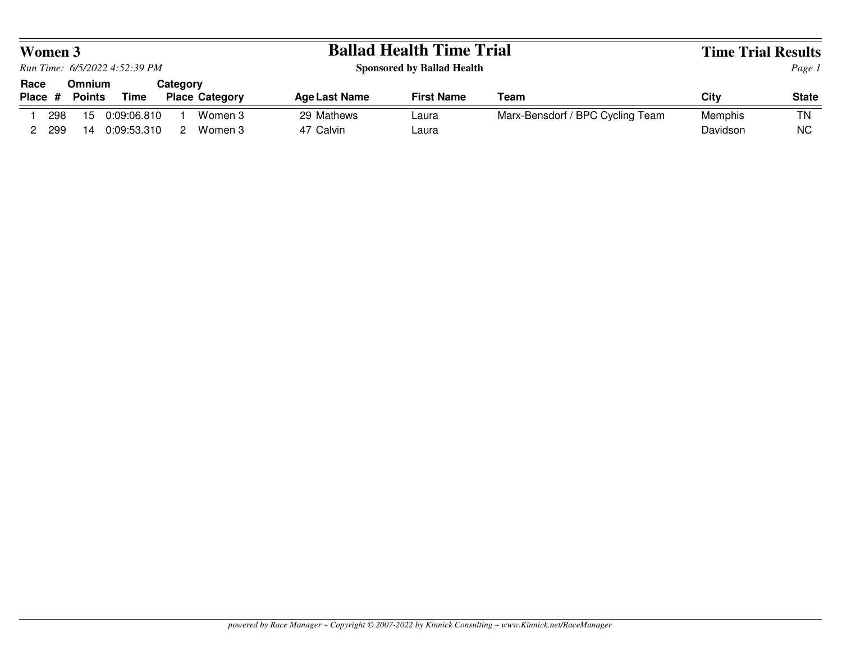|      | <b>Women 3</b>                |                                |                            |          |                       |                         | <b>Ballad Health Time Trial</b>   |                                  | <b>Time Trial Results</b> |                 |  |
|------|-------------------------------|--------------------------------|----------------------------|----------|-----------------------|-------------------------|-----------------------------------|----------------------------------|---------------------------|-----------------|--|
|      | Run Time: 6/5/2022 4:52:39 PM |                                |                            |          |                       |                         | <b>Sponsored by Ballad Health</b> |                                  |                           | Page 1          |  |
| Race | Place #                       | <b>Omnium</b><br><b>Points</b> | Time                       | Categorv | <b>Place Category</b> | <b>Age Last Name</b>    | <b>First Name</b>                 | Team                             | City                      | <b>State</b>    |  |
|      | 298<br>299                    | 15<br>14                       | 0:09:06.810<br>0:09:53.310 | 2        | Women 3<br>Women 3    | 29 Mathews<br>47 Calvin | Laura<br>Laura                    | Marx-Bensdorf / BPC Cycling Team | Memphis<br>Davidson       | ΤN<br><b>NC</b> |  |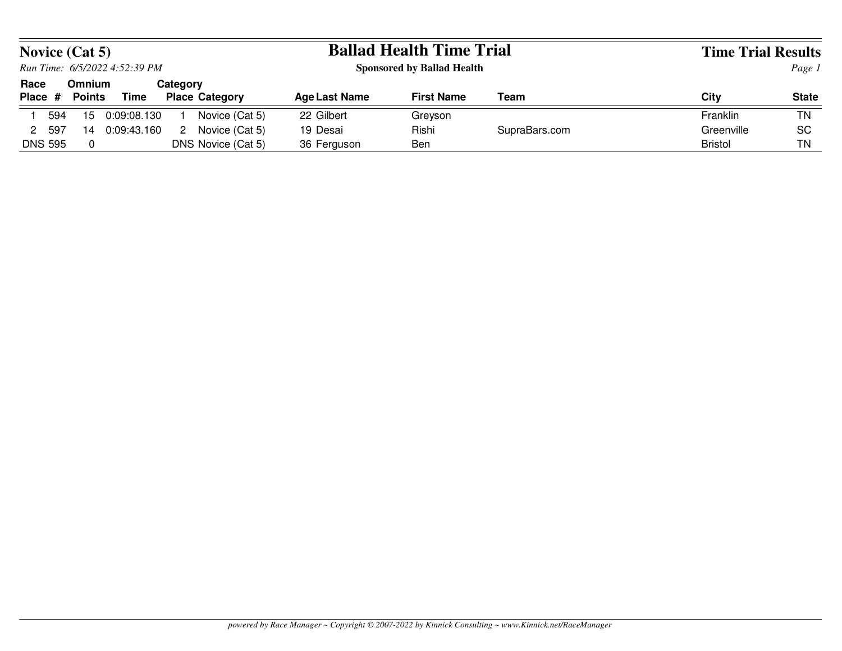|                |                               | <b>Novice (Cat 5)</b> |             |          |                       |                      | <b>Ballad Health Time Trial</b>   |               | <b>Time Trial Results</b> |              |  |
|----------------|-------------------------------|-----------------------|-------------|----------|-----------------------|----------------------|-----------------------------------|---------------|---------------------------|--------------|--|
|                | Run Time: 6/5/2022 4:52:39 PM |                       |             |          |                       |                      | <b>Sponsored by Ballad Health</b> |               | Page 1                    |              |  |
| Race           |                               | <b>Omnium</b>         |             | Category |                       |                      | <b>First Name</b>                 |               |                           |              |  |
| Place #        |                               | <b>Points</b>         | Time        |          | <b>Place Category</b> | <b>Age Last Name</b> |                                   | Team          | City                      | <b>State</b> |  |
|                | 594                           | 15                    | 0:09:08.130 |          | Novice (Cat 5)        | 22 Gilbert           | Greyson                           |               | Franklin                  | <b>TN</b>    |  |
| 2              | -597                          | 14                    | 0:09:43.160 | 2        | Novice (Cat 5)        | 19 Desai             | Rishi                             | SupraBars.com | Greenville                | <b>SC</b>    |  |
| <b>DNS 595</b> |                               | $\Omega$              |             |          | DNS Novice (Cat 5)    | 36 Ferguson          | Ben                               |               | <b>Bristol</b>            | TN           |  |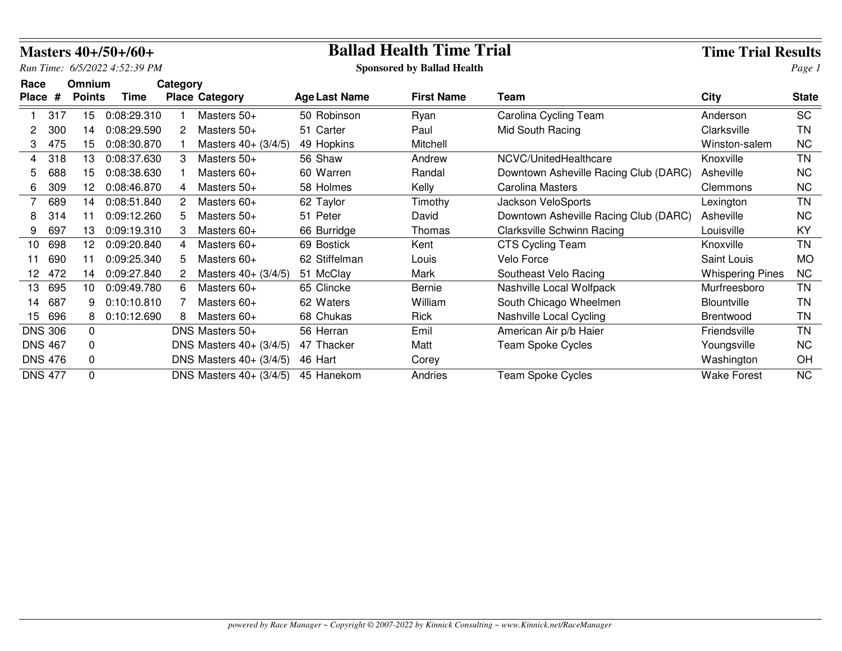|         |                |               | Masters 40+/50+/60+           |          |                                              |                      | <b>Ballad Health Time Trial</b>   |                                       | <b>Time Trial Results</b> |              |
|---------|----------------|---------------|-------------------------------|----------|----------------------------------------------|----------------------|-----------------------------------|---------------------------------------|---------------------------|--------------|
|         |                |               | Run Time: 6/5/2022 4:52:39 PM |          |                                              |                      | <b>Sponsored by Ballad Health</b> |                                       |                           | Page 1       |
| Race    |                | <b>Omnium</b> |                               | Category |                                              |                      |                                   |                                       |                           |              |
| Place # |                | <b>Points</b> | <b>Time</b>                   |          | <b>Place Category</b>                        | <b>Age Last Name</b> | <b>First Name</b>                 | Team                                  | <b>City</b>               | <b>State</b> |
|         | 317            | 15            | 0:08:29.310                   |          | Masters 50+                                  | 50 Robinson          | Ryan                              | Carolina Cycling Team                 | Anderson                  | <b>SC</b>    |
|         | 300            | 14            | 0:08:29.590                   | 2        | Masters $50+$                                | 51 Carter            | Paul                              | Mid South Racing                      | Clarksville               | <b>TN</b>    |
| 3       | 475            | 15            | 0:08:30.870                   |          | Masters $40 + (3/4/5)$                       | 49 Hopkins           | Mitchell                          |                                       | Winston-salem             | <b>NC</b>    |
| 4       | 318            | 13            | 0:08:37.630                   | 3        | Masters 50+                                  | 56 Shaw              | Andrew                            | NCVC/UnitedHealthcare                 | Knoxville                 | <b>TN</b>    |
| 5.      | 688            | 15.           | 0:08:38.630                   |          | Masters 60+                                  | 60 Warren            | Randal                            | Downtown Asheville Racing Club (DARC) | Asheville                 | <b>NC</b>    |
| 6       | 309            | 12.           | 0:08:46.870                   | 4        | Masters 50+                                  | 58 Holmes            | Kelly                             | <b>Carolina Masters</b>               | Clemmons                  | <b>NC</b>    |
| 7       | 689            | 14            | 0:08:51.840                   | 2.       | Masters 60+                                  | 62 Taylor            | Timothy                           | Jackson VeloSports                    | Lexington                 | <b>TN</b>    |
| 8       | 314            | 11            | 0:09:12.260                   | 5        | Masters 50+                                  | 51 Peter             | David                             | Downtown Asheville Racing Club (DARC) | Asheville                 | <b>NC</b>    |
| 9       | 697            | 13            | 0:09:19.310                   | 3        | Masters 60+                                  | 66 Burridge          | Thomas                            | <b>Clarksville Schwinn Racing</b>     | Louisville                | KY           |
| 10      | 698            | 12            | 0:09:20.840                   | 4        | Masters 60+                                  | 69 Bostick           | Kent                              | <b>CTS Cycling Team</b>               | Knoxville                 | <b>TN</b>    |
| 11      | 690            | 11            | 0:09:25.340                   | 5.       | Masters 60+                                  | 62 Stiffelman        | Louis                             | Velo Force                            | Saint Louis               | МO           |
| 12      | 472            | 14            | 0:09:27.840                   |          | Masters $40+ (3/4/5)$                        | 51 McClay            | Mark                              | Southeast Velo Racing                 | <b>Whispering Pines</b>   | <b>NC</b>    |
| 13      | 695            | 10            | 0:09:49.780                   | 6.       | Masters 60+                                  | 65 Clincke           | Bernie                            | Nashville Local Wolfpack              | Murfreesboro              | <b>TN</b>    |
| 14      | 687            | 9             | 0:10:10.810                   |          | Masters $60+$                                | 62 Waters            | William                           | South Chicago Wheelmen                | <b>Blountville</b>        | TN           |
| 15      | 696            | 8             | 0:10:12.690                   | 8        | Masters $60+$                                | 68 Chukas            | <b>Rick</b>                       | Nashville Local Cycling               | <b>Brentwood</b>          | TN           |
|         | <b>DNS 306</b> | $\Omega$      |                               |          | DNS Masters 50+                              | 56 Herran            | Emil                              | American Air p/b Haier                | Friendsville              | <b>TN</b>    |
|         | <b>DNS 467</b> | 0             |                               |          | DNS Masters $40 + (3/4/5)$                   | 47 Thacker           | Matt                              | <b>Team Spoke Cycles</b>              | Youngsville               | <b>NC</b>    |
|         | <b>DNS 476</b> | 0             |                               |          | <b>DNS Masters 40+ (3/4/5)</b>               | 46 Hart              | Corey                             |                                       | Washington                | OH           |
|         | <b>DNS 477</b> | $\Omega$      |                               |          | <b>DNS Masters <math>40 + (3/4/5)</math></b> | 45 Hanekom           | Andries                           | <b>Team Spoke Cycles</b>              | <b>Wake Forest</b>        | <b>NC</b>    |

## **Ballad Health Time Trial Time Trial Results**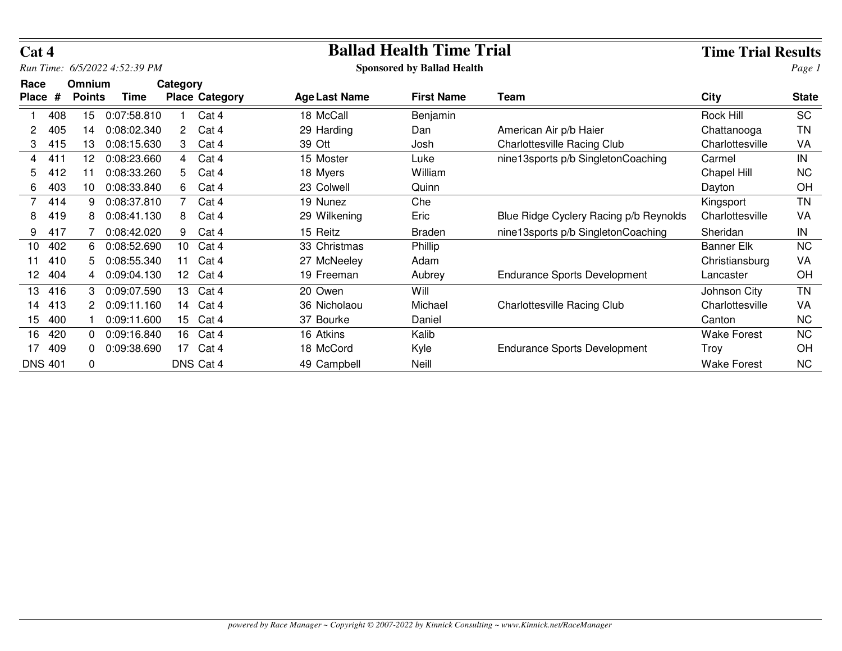| Cat 4                |     |                         |                     |                  |                       | <b>Ballad Health Time Trial</b> |                                   | <b>Time Trial Results</b>              |                    |              |
|----------------------|-----|-------------------------|---------------------|------------------|-----------------------|---------------------------------|-----------------------------------|----------------------------------------|--------------------|--------------|
| Run Time:            |     |                         | 6/5/2022 4:52:39 PM |                  |                       |                                 | <b>Sponsored by Ballad Health</b> |                                        |                    | Page 1       |
| Race<br><b>Place</b> | #   | Omnium<br><b>Points</b> | Time                | Category         | <b>Place Category</b> | <b>Age Last Name</b>            | <b>First Name</b>                 | <b>Team</b>                            | <b>City</b>        | <b>State</b> |
|                      | 408 | 15                      | 0:07:58.810         |                  | Cat 4                 | 18 McCall                       | Benjamin                          |                                        | Rock Hill          | <b>SC</b>    |
| 2                    | 405 | 14                      | 0:08:02.340         | 2                | Cat 4                 | 29 Harding                      | Dan                               | American Air p/b Haier                 | Chattanooga        | ΤN           |
| 3                    | 415 | 13                      | 0:08:15.630         | 3                | Cat 4                 | 39 Ott                          | Josh                              | <b>Charlottesville Racing Club</b>     | Charlottesville    | VA           |
| 4                    | 411 | 12                      | 0:08:23.660         | 4                | Cat 4                 | 15 Moster                       | Luke                              | nine13sports p/b SingletonCoaching     | Carmel             | IN           |
| 5                    | 412 | 11                      | 0:08:33.260         | 5.               | Cat 4                 | 18 Myers                        | William                           |                                        | Chapel Hill        | <b>NC</b>    |
| 6                    | 403 | 10                      | 0:08:33.840         | 6.               | Cat 4                 | 23 Colwell                      | Quinn                             |                                        | Dayton             | OH           |
| 7                    | 414 | 9                       | 0:08:37.810         |                  | Cat 4                 | 19 Nunez                        | Che                               |                                        | Kingsport          | <b>TN</b>    |
| 8                    | 419 | 8                       | 0:08:41.130         | 8                | Cat 4                 | 29 Wilkening                    | Eric                              | Blue Ridge Cyclery Racing p/b Reynolds | Charlottesville    | VA           |
| 9                    | 417 |                         | 0:08:42.020         | 9                | Cat 4                 | 15 Reitz                        | <b>Braden</b>                     | nine13 sports p/b Singleton Coaching   | Sheridan           | IN           |
| 10 <sup>1</sup>      | 402 | 6                       | 0:08:52.690         | 10 <sup>1</sup>  | Cat 4                 | 33 Christmas                    | <b>Phillip</b>                    |                                        | <b>Banner Elk</b>  | <b>NC</b>    |
|                      | 410 | 5                       | 0:08:55.340         | 11               | Cat 4                 | 27 McNeeley                     | Adam                              |                                        | Christiansburg     | VA           |
| 12 <sub>2</sub>      | 404 |                         | 0:09:04.130         |                  | 12 Cat 4              | 19 Freeman                      | Aubrey                            | <b>Endurance Sports Development</b>    | Lancaster          | OH           |
| 13                   | 416 | 3                       | 0:09:07.590         | 13               | Cat 4                 | 20 Owen                         | Will                              |                                        | Johnson City       | <b>TN</b>    |
| 14                   | 413 |                         | 0:09:11.160         |                  | 14 Cat 4              | 36 Nicholaou                    | Michael                           | Charlottesville Racing Club            | Charlottesville    | VA           |
| 15                   | 400 |                         | 0:09:11.600         | 15 <sup>15</sup> | Cat 4                 | 37 Bourke                       | Daniel                            |                                        | Canton             | <b>NC</b>    |
| 16                   | 420 | 0                       | 0:09:16.840         |                  | 16 Cat 4              | 16 Atkins                       | Kalib                             |                                        | Wake Forest        | <b>NC</b>    |
| 17                   | 409 | 0                       | 0:09:38.690         |                  | 17 Cat 4              | 18 McCord                       | Kyle                              | <b>Endurance Sports Development</b>    | Troy               | OH           |
| <b>DNS 401</b>       |     | 0                       |                     |                  | DNS Cat 4             | 49 Campbell                     | Neill                             |                                        | <b>Wake Forest</b> | <b>NC</b>    |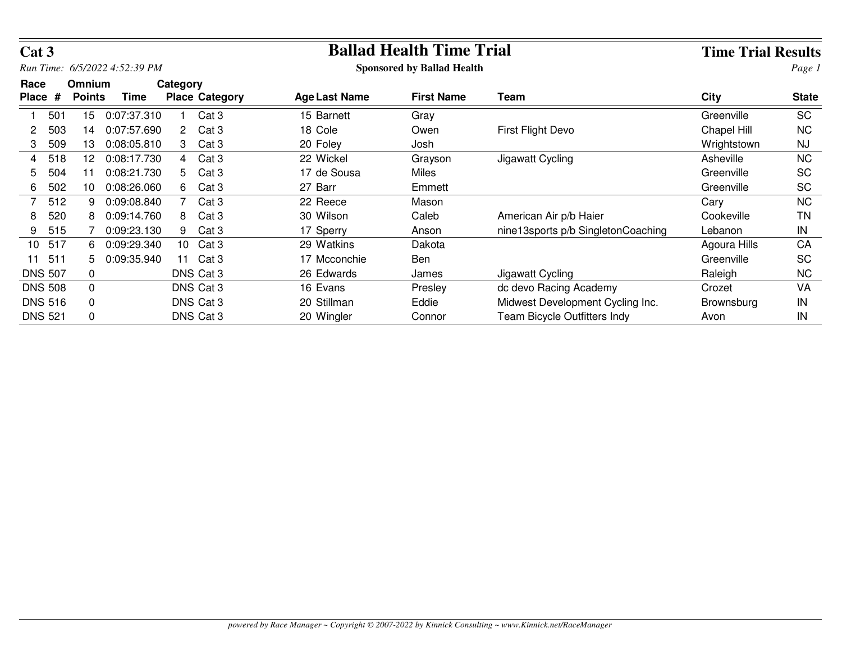| Cat 3                |                |                                |                               |                |                       | <b>Ballad Health Time Trial</b> |                                   | <b>Time Trial Results</b>          |              |              |
|----------------------|----------------|--------------------------------|-------------------------------|----------------|-----------------------|---------------------------------|-----------------------------------|------------------------------------|--------------|--------------|
|                      |                |                                | Run Time: 6/5/2022 4:52:39 PM |                |                       |                                 | <b>Sponsored by Ballad Health</b> |                                    |              | Page 1       |
| Race<br><b>Place</b> | #              | <b>Omnium</b><br><b>Points</b> | Time                          | Category       | <b>Place Category</b> | <b>Age Last Name</b>            | <b>First Name</b>                 | Team                               | <b>City</b>  | <b>State</b> |
|                      | 501            | 15                             | 0:07:37.310                   |                | Cat <sub>3</sub>      | 15 Barnett                      | Gray                              |                                    | Greenville   | <b>SC</b>    |
|                      | 503            | 14                             | 0:07:57.690                   | 2              | Cat <sub>3</sub>      | 18 Cole                         | Owen                              | First Flight Devo                  | Chapel Hill  | <b>NC</b>    |
| 3                    | 509            | 13                             | 0:08:05.810                   | 3              | Cat <sub>3</sub>      | 20 Foley                        | Josh                              |                                    | Wrightstown  | <b>NJ</b>    |
| 4                    | 518            | 12                             | 0:08:17.730                   | $\overline{4}$ | Cat <sub>3</sub>      | 22 Wickel                       | Grayson                           | Jigawatt Cycling                   | Asheville    | NC.          |
| 5.                   | 504            | 11                             | 0:08:21.730                   | 5.             | Cat <sub>3</sub>      | 17 de Sousa                     | Miles                             |                                    | Greenville   | SC           |
| 6                    | 502            | 10                             | 0:08:26.060                   | 6              | Cat <sub>3</sub>      | 27 Barr                         | Emmett                            |                                    | Greenville   | <b>SC</b>    |
|                      | 512            | 9                              | 0:09:08.840                   |                | Cat <sub>3</sub>      | 22 Reece                        | Mason                             |                                    | Cary         | <b>NC</b>    |
| 8                    | 520            | 8                              | 0:09:14.760                   | 8.             | Cat <sub>3</sub>      | 30 Wilson                       | Caleb                             | American Air p/b Haier             | Cookeville   | ΤN           |
| 9                    | 515            |                                | 0:09:23.130                   | 9              | Cat <sub>3</sub>      | 17 Sperry                       | Anson                             | nine13sports p/b SingletonCoaching | Lebanon      | IN           |
| 10 <sup>1</sup>      | 517            | 6                              | 0:09:29.340                   | $10-10$        | Cat <sub>3</sub>      | 29 Watkins                      | Dakota                            |                                    | Agoura Hills | CA           |
| 11                   | 511            | 5.                             | 0:09:35.940                   | 11             | Cat 3                 | 17 Mcconchie                    | Ben                               |                                    | Greenville   | <b>SC</b>    |
|                      | <b>DNS 507</b> | 0                              |                               |                | DNS Cat 3             | 26 Edwards                      | James                             | Jigawatt Cycling                   | Raleigh      | <b>NC</b>    |
|                      | <b>DNS 508</b> | 0                              |                               |                | DNS Cat 3             | 16 Evans                        | Presley                           | dc devo Racing Academy             | Crozet       | VA           |
|                      | <b>DNS 516</b> | 0                              |                               |                | DNS Cat 3             | 20 Stillman                     | Eddie                             | Midwest Development Cycling Inc.   | Brownsburg   | IN           |
|                      | <b>DNS 521</b> | 0                              |                               |                | DNS Cat 3             | 20 Wingler                      | Connor                            | Team Bicycle Outfitters Indy       | Avon         | IN           |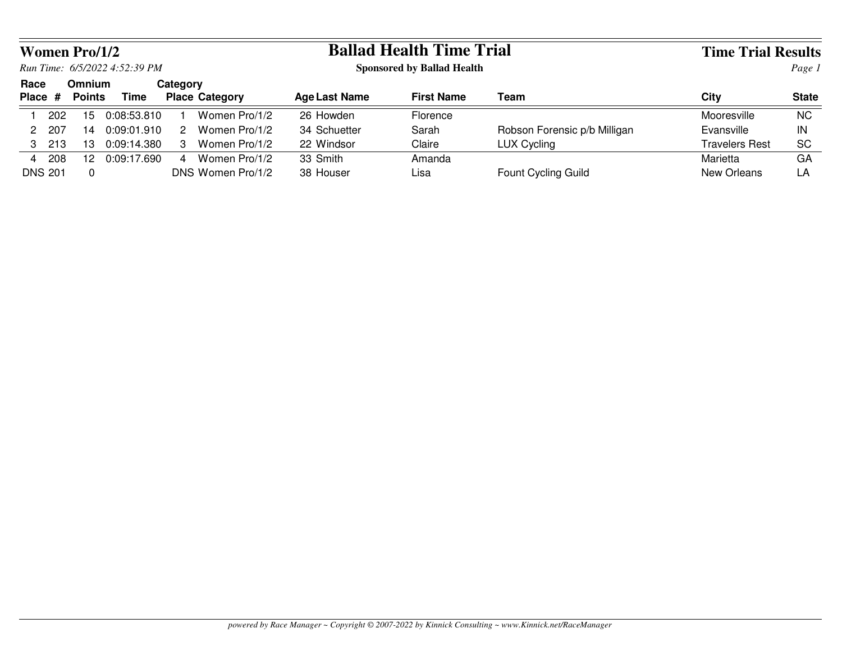|      |                | Women Pro/1/2 |                               |          |                       |               | <b>Ballad Health Time Trial</b>   |                              | <b>Time Trial Results</b> |              |  |
|------|----------------|---------------|-------------------------------|----------|-----------------------|---------------|-----------------------------------|------------------------------|---------------------------|--------------|--|
|      |                |               | Run Time: 6/5/2022 4:52:39 PM |          |                       |               | <b>Sponsored by Ballad Health</b> |                              | Page 1                    |              |  |
| Race |                | <b>Omnium</b> |                               | Category |                       |               |                                   |                              |                           |              |  |
|      | Place #        | <b>Points</b> | Time                          |          | <b>Place Category</b> | Age Last Name | <b>First Name</b>                 | Team                         | City                      | <b>State</b> |  |
|      | 202            | 15            | 0:08:53.810                   |          | Women Pro/1/2         | 26 Howden     | Florence                          |                              | Mooresville               | <b>NC</b>    |  |
|      | 207            | 14            | 0.09:01.910                   | 2        | Women Pro/1/2         | 34 Schuetter  | Sarah                             | Robson Forensic p/b Milligan | Evansville                | IN           |  |
|      | 3 213          | 13            | 0:09:14.380                   | 3        | Women Pro/1/2         | 22 Windsor    | Claire                            | <b>LUX Cycling</b>           | <b>Travelers Rest</b>     | <b>SC</b>    |  |
| 4    | 208            | 12            | 0:09:17.690                   | 4        | Women Pro/1/2         | 33 Smith      | Amanda                            |                              | Marietta                  | GA           |  |
|      | <b>DNS 201</b> |               |                               |          | DNS Women Pro/1/2     | 38 Houser     | Lisa                              | Fount Cycling Guild          | New Orleans               | LA           |  |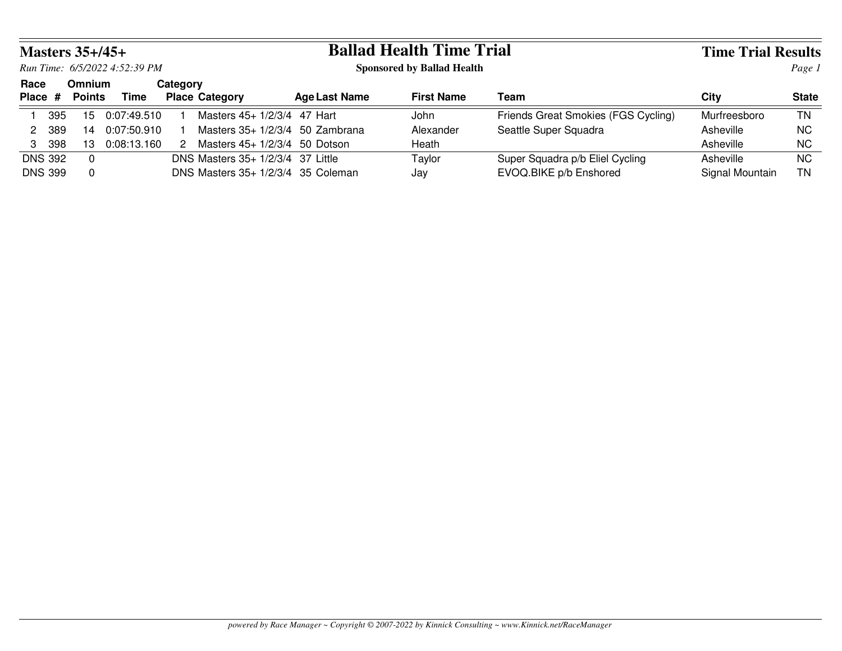|                |       | Masters $35+/45+$ |                               |          |                                     | <b>Ballad Health Time Trial</b> |                                   | <b>Time Trial Results</b>           |                 |              |  |
|----------------|-------|-------------------|-------------------------------|----------|-------------------------------------|---------------------------------|-----------------------------------|-------------------------------------|-----------------|--------------|--|
|                |       |                   | Run Time: 6/5/2022 4:52:39 PM |          |                                     |                                 | <b>Sponsored by Ballad Health</b> |                                     | Page 1          |              |  |
| Race           |       | <b>Omnium</b>     |                               | Category |                                     |                                 |                                   |                                     |                 |              |  |
| Place #        |       | <b>Points</b>     | Time                          |          | <b>Place Category</b>               | <b>Age Last Name</b>            | <b>First Name</b>                 | Team                                | City            | <b>State</b> |  |
|                | 395   | 15                | 0:07:49.510                   |          | Masters 45+ 1/2/3/4 47 Hart         |                                 | John                              | Friends Great Smokies (FGS Cycling) | Murfreesboro    | ΤN           |  |
|                | 2 389 | 14                | 0:07:50.910                   |          | Masters $35+1/2/3/4$ 50 Zambrana    |                                 | Alexander                         | Seattle Super Squadra               | Asheville       | NC.          |  |
| $\mathcal{S}$  | 398   | 13                | 0:08:13.160                   | 2        | Masters $45+1/2/3/4$ 50 Dotson      |                                 | Heath                             |                                     | Asheville       | <b>NC</b>    |  |
| <b>DNS 392</b> |       | $\Omega$          |                               |          | DNS Masters 35+ 1/2/3/4 37 Little   |                                 | Taylor                            | Super Squadra p/b Eliel Cycling     | Asheville       | NC.          |  |
| <b>DNS 399</b> |       | $\overline{0}$    |                               |          | DNS Masters $35+1/2/3/4$ 35 Coleman |                                 | Jay                               | EVOQ.BIKE p/b Enshored              | Signal Mountain | ΤN           |  |